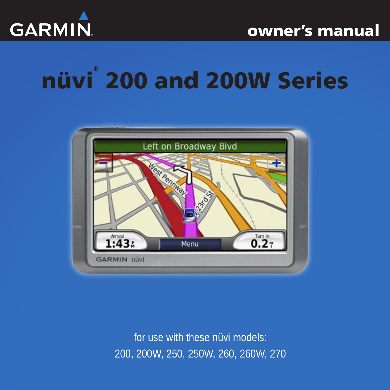

# nüvi *®* 200 and 200W Series



for use with these nüvi models: 200, 200W, 250, 250W, 260, 260W, 270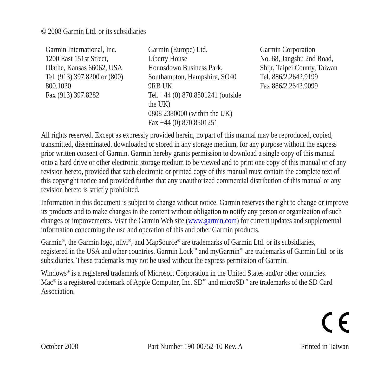#### © 2008 Garmin Ltd. or its subsidiaries

| Garmin International, Inc.   | Garmin (Europe) Ltd.              |
|------------------------------|-----------------------------------|
| 1200 East 151st Street,      | Liberty House                     |
| Olathe, Kansas 66062, USA    | Hounsdown Business Park.          |
| Tel. (913) 397.8200 or (800) | Southampton, Hampshire, SO40      |
| 800.1020                     | 9RB UK                            |
| Fax (913) 397.8282           | Tel. +44 (0) 870.8501241 (outside |
|                              | the UK)                           |
|                              | 0808 2380000 (within the UK)      |
|                              | Fax +44 (0) 870.8501251           |

Garmin Corporation No. 68, Jangshu 2nd Road, Shijr, Taipei County, Taiwan Tel. 886/2.2642.9199 Fax 886/2.2642.9099

All rights reserved. Except as expressly provided herein, no part of this manual may be reproduced, copied, transmitted, disseminated, downloaded or stored in any storage medium, for any purpose without the express prior written consent of Garmin. Garmin hereby grants permission to download a single copy of this manual onto a hard drive or other electronic storage medium to be viewed and to print one copy of this manual or of any revision hereto, provided that such electronic or printed copy of this manual must contain the complete text of this copyright notice and provided further that any unauthorized commercial distribution of this manual or any revision hereto is strictly prohibited.

Information in this document is subject to change without notice. Garmin reserves the right to change or improve its products and to make changes in the content without obligation to notify any person or organization of such changes or improvements. Visit the Garmin Web site ([www.garmin.com\)](www.garmin.com) for current updates and supplemental information concerning the use and operation of this and other Garmin products.

Garmin®, the Garmin logo, nüvi®, and MapSource® are trademarks of Garmin Ltd. or its subsidiaries, registered in the USA and other countries. Garmin Lock™ and myGarmin™ are trademarks of Garmin Ltd. or its subsidiaries. These trademarks may not be used without the express permission of Garmin.

Windows<sup>®</sup> is a registered trademark of Microsoft Corporation in the United States and/or other countries. Mac<sup>®</sup> is a registered trademark of Apple Computer, Inc. SD<sup>™</sup> and microSD<sup>™</sup> are trademarks of the SD Card Association.

# $\epsilon$

October 2008 Part Number 190-00752-10 Rev. A Printed in Taiwan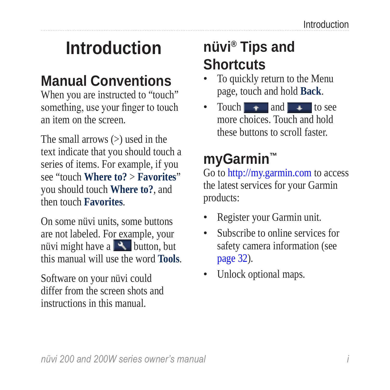# <span id="page-2-0"></span>**Introduction**

## **Manual Conventions**

When you are instructed to "touch" something, use your finger to touch an item on the screen.

The small arrows  $($ ) used in the text indicate that you should touch a series of items. For example, if you see "touch **Where to?** > **Favorites**" you should touch **Where to?**, and then touch **Favorites**.

On some nüvi units, some buttons are not labeled. For example, your nüvi might have a  $\sim$  button, but this manual will use the word **Tools**.

Software on your nüvi could differ from the screen shots and instructions in this manual.

# **nüvi® Tips and Shortcuts**

- To quickly return to the Menu page, touch and hold **Back**. •
- Touch  $\rightarrow$  and  $\rightarrow$  to see more choices. Touch and hold these buttons to scroll faster. •

# **myGarmin™**

Go to <http://my.garmin.com> to access the latest services for your Garmin products:

- Register your Garmin unit. •
- Subscribe to online services for safety camera information (see [page 32](#page-37-0)). •
- Unlock optional maps.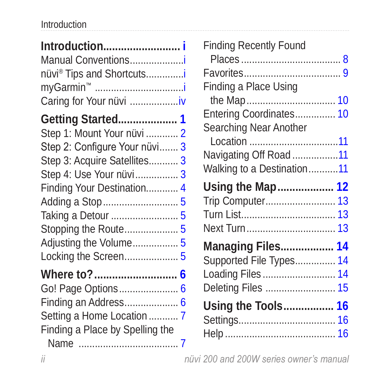#### Introduction

| Manual Conventions                    |  |
|---------------------------------------|--|
| nüvi <sup>®</sup> Tips and Shortcutsi |  |
| myGarmin™ i                           |  |
| Caring for Your nüvi                  |  |
| <b>Getting Started 1</b>              |  |
| Step 1: Mount Your nüvi  2            |  |
| Step 2: Configure Your nüvi 3         |  |
| Step 3: Acquire Satellites 3          |  |
| Step 4: Use Your nüvi 3               |  |
| Finding Your Destination 4            |  |
|                                       |  |
| Taking a Detour  5                    |  |
|                                       |  |
| Adjusting the Volume 5                |  |
| Locking the Screen 5                  |  |
| Where to?  6                          |  |
| Go! Page Options 6                    |  |
| Finding an Address 6                  |  |
| Setting a Home Location  7            |  |
| Finding a Place by Spelling the       |  |
|                                       |  |
|                                       |  |

| <b>Finding Recently Found</b> |  |
|-------------------------------|--|
|                               |  |
|                               |  |
| Finding a Place Using         |  |
| Entering Coordinates 10       |  |
| Searching Near Another        |  |
|                               |  |
| Navigating Off Road11         |  |
| Walking to a Destination11    |  |
| Using the Map 12              |  |
| Trip Computer 13              |  |
|                               |  |
| Next Turn 13                  |  |
| <b>Managing Files 14</b>      |  |
| Supported File Types 14       |  |
| Loading Files  14             |  |
| Deleting Files  15            |  |
| Using the Tools 16            |  |
|                               |  |
|                               |  |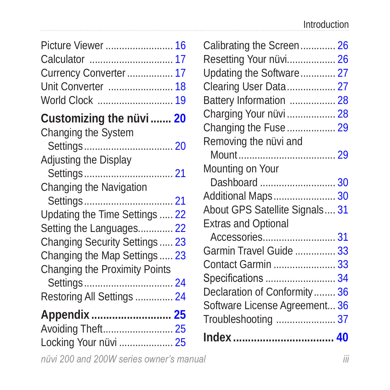| Picture Viewer  16             |  |
|--------------------------------|--|
|                                |  |
| Currency Converter  17         |  |
| Unit Converter  18             |  |
| World Clock  19                |  |
| Customizing the nüvi  20       |  |
| Changing the System            |  |
|                                |  |
| Adjusting the Display          |  |
|                                |  |
| Changing the Navigation        |  |
|                                |  |
| Updating the Time Settings  22 |  |
| Setting the Languages 22       |  |
| Changing Security Settings  23 |  |
| Changing the Map Settings  23  |  |
| Changing the Proximity Points  |  |
|                                |  |
| Restoring All Settings  24     |  |
| Appendix  25                   |  |
| Avoiding Theft 25              |  |
| Locking Your nüvi  25          |  |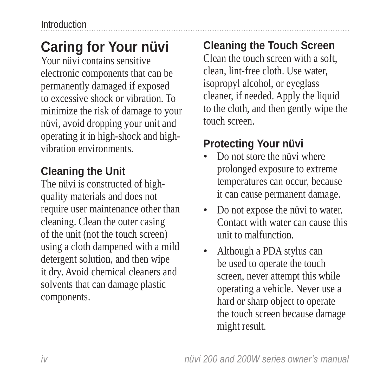# <span id="page-5-0"></span>**Caring for Your nüvi**

Your nüvi contains sensitive electronic components that can be permanently damaged if exposed to excessive shock or vibration. To minimize the risk of damage to your nüvi, avoid dropping your unit and operating it in high-shock and highvibration environments.

#### **Cleaning the Unit**

The nüvi is constructed of highquality materials and does not require user maintenance other than cleaning. Clean the outer casing of the unit (not the touch screen) using a cloth dampened with a mild detergent solution, and then wipe it dry. Avoid chemical cleaners and solvents that can damage plastic components.

#### **Cleaning the Touch Screen**

Clean the touch screen with a soft, clean, lint-free cloth. Use water, isopropyl alcohol, or eyeglass cleaner, if needed. Apply the liquid to the cloth, and then gently wipe the touch screen.

#### **Protecting Your nüvi**

- Do not store the nüvi where prolonged exposure to extreme temperatures can occur, because it can cause permanent damage. •
- Do not expose the nüvi to water. Contact with water can cause this unit to malfunction. •
- Although a PDA stylus can be used to operate the touch screen, never attempt this while operating a vehicle. Never use a hard or sharp object to operate the touch screen because damage might result. •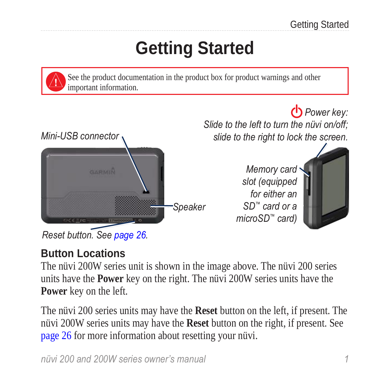# **Getting Started**

<span id="page-6-0"></span>See the product documentation in the product box for product warnings and other important information.



#### **Button Locations**

The nüvi 200W series unit is shown in the image above. The nüvi 200 series units have the **Power** key on the right. The nüvi 200W series units have the **Power** key on the left.

The nüvi 200 series units may have the **Reset** button on the left, if present. The nüvi 200W series units may have the **Reset** button on the right, if present. See [page 26](#page-31-1) for more information about resetting your nüvi.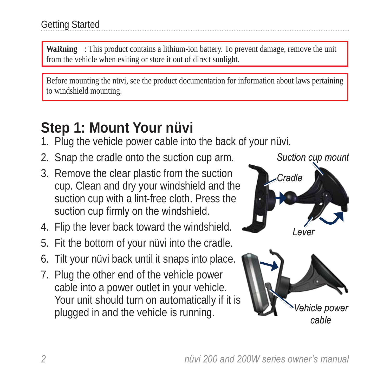<span id="page-7-0"></span>**WaRning** : This product contains a lithium-ion battery. To prevent damage, remove the unit from the vehicle when exiting or store it out of direct sunlight.

Before mounting the nüvi, see the product documentation for information about laws pertaining to windshield mounting.

## <span id="page-7-1"></span>**Step 1: Mount Your nüvi**

- 1. Plug the vehicle power cable into the back of your nüvi.
- 2. Snap the cradle onto the suction cup arm.
- 3. Remove the clear plastic from the suction cup. Clean and dry your windshield and the suction cup with a lint-free cloth. Press the suction cup firmly on the windshield.
- 4. Flip the lever back toward the windshield.
- 5. Fit the bottom of your nüvi into the cradle.
- 6. Tilt your nüvi back until it snaps into place.
- 7. Plug the other end of the vehicle power cable into a power outlet in your vehicle. Your unit should turn on automatically if it is plugged in and the vehicle is running.

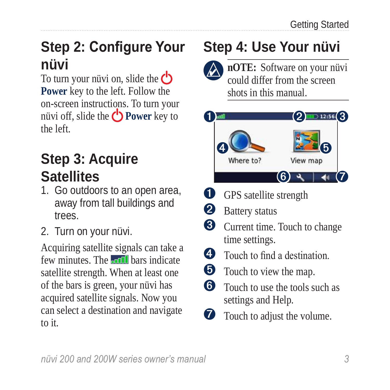## <span id="page-8-0"></span>**Step 2: Configure Your nüvi**

To turn your nüvi on, slide the  $\circ$ **Power** key to the left. Follow the on-screen instructions. To turn your nüvi off, slide the **Power** key to the left.

## **Step 3: Acquire Satellites**

- 1. Go outdoors to an open area, away from tall buildings and trees
- 2. Turn on your nüvi.

Acquiring satellite signals can take a few minutes. The **bandl** bars indicate satellite strength. When at least one of the bars is green, your nüvi has acquired satellite signals. Now you can select a destination and navigate to it.

# **Step 4: Use Your nüvi**

**nOTE:** Software on your nüvi could differ from the screen shots in this manual.



- **O** GPS satellite strength
- **2** Battery status
- ➌ Current time. Touch to change time settings.
- $\bullet$  Touch to find a destination.
- **O** Touch to view the map.
- **C** Touch to use the tools such as settings and Help.
- $\bullet$  Touch to adjust the volume.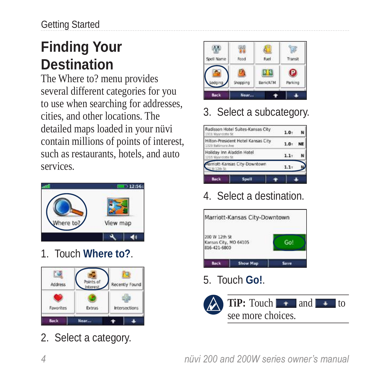# <span id="page-9-1"></span><span id="page-9-0"></span>**Finding Your Destination**

The Where to? menu provides several different categories for you to use when searching for addresses, cities, and other locations. The detailed maps loaded in your nüvi contain millions of points of interest, such as restaurants, hotels, and auto services.



1. Touch **Where to?**.



2. Select a category.



#### 3. Select a subcategory.



#### 4. Select a destination.



5. Touch **Go!**.

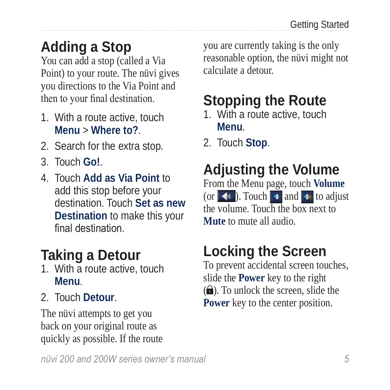# <span id="page-10-0"></span>**Adding a Stop**

You can add a stop (called a Via Point) to your route. The nüvi gives you directions to the Via Point and then to your final destination.

- 1. With a route active, touch **Menu** > **Where to?**.
- 2. Search for the extra stop.
- 3. Touch **Go!**.
- 4. Touch **Add as Via Point** to add this stop before your destination. Touch **Set as new Destination** to make this your final destination.

# **Taking a Detour**

- 1. With a route active, touch **Menu**.
- 2. Touch **Detour**.

The nüvi attempts to get you back on your original route as quickly as possible. If the route you are currently taking is the only reasonable option, the nüvi might not calculate a detour.

# **Stopping the Route**

- 1. With a route active, touch **Menu**.
- 2. Touch **Stop**.

# **Adjusting the Volume**

From the Menu page, touch **Volume**  (or  $\Box$ ). Touch  $\Box$  and  $\Box$  to adjust the volume. Touch the box next to **Mute** to mute all audio.

# **Locking the Screen**

To prevent accidental screen touches, slide the **Power** key to the right  $(\hat{\mathbf{n}})$ . To unlock the screen, slide the **Power** key to the center position.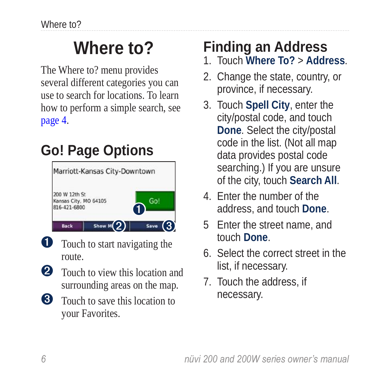# **Where to?**

<span id="page-11-0"></span>The Where to? menu provides several different categories you can use to search for locations. To learn how to perform a simple search, see [page 4](#page-9-1).

# **Go! Page Options**



# **Finding an Address**

- 1. Touch **Where To?** > **Address**.
- 2. Change the state, country, or province, if necessary.
- 3. Touch **Spell City**, enter the city/postal code, and touch **Done**. Select the city/postal code in the list. (Not all map data provides postal code searching.) If you are unsure of the city, touch **Search All**.
- 4. Enter the number of the address, and touch **Done**.
- 5 Enter the street name, and touch **Done**.
- 6. Select the correct street in the list, if necessary.
- 7. Touch the address, if necessary.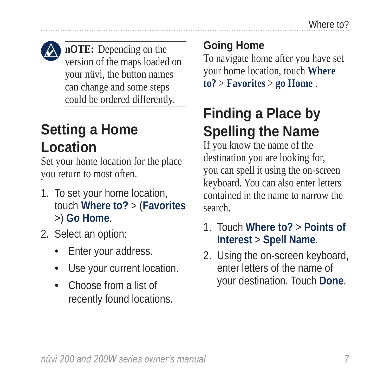<span id="page-12-0"></span>

**nOTE:** Depending on the version of the maps loaded on your nüvi, the button names can change and some steps could be ordered differently.

# **Setting a Home Location**

Set your home location for the place you return to most often.

- 1. To set your home location, touch **Where to?** > (**Favorites** >) **Go Home**.
- 2. Select an option:
	- Enter your address. •
	- Use your current location. •
	- Choose from a list of recently found locations.

#### **Going Home**

To navigate home after you have set your home location, touch **Where to?** > **Favorites** > **go Home** .

# **Finding a Place by Spelling the Name**

If you know the name of the destination you are looking for, you can spell it using the on-screen keyboard. You can also enter letters contained in the name to narrow the search.

- 1. Touch **Where to?** > **Points of Interest** > **Spell Name**.
- 2. Using the on-screen keyboard, enter letters of the name of your destination. Touch **Done**.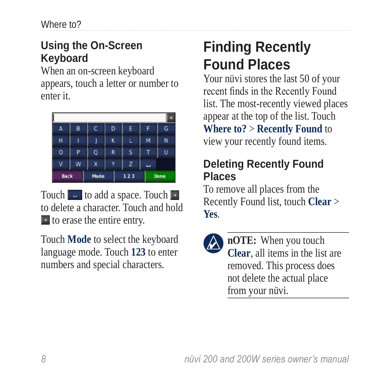#### <span id="page-13-0"></span>**Using the On-Screen Keyboard**

When an on-screen keyboard appears, touch a letter or number to enter it.



Touch  $\lceil \cdot \rceil$  to add a space. Touch  $\lceil \cdot \rceil$ to delete a character. Touch and hold to erase the entire entry.

Touch **Mode** to select the keyboard language mode. Touch **123** to enter numbers and special characters.

# **Finding Recently Found Places**

Your nüvi stores the last 50 of your recent finds in the Recently Found list. The most-recently viewed places appear at the top of the list. Touch **Where to?** > **Recently Found** to view your recently found items.

#### **Deleting Recently Found Places**

To remove all places from the Recently Found list, touch **Clear** > **Yes**.



**nOTE:** When you touch **Clear**, all items in the list are removed. This process does not delete the actual place from your nüvi.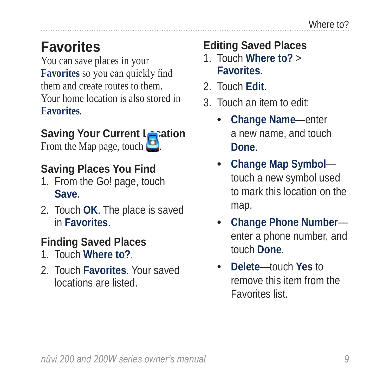## <span id="page-14-0"></span>**Fa vorites**

You can save places in your **Favorites** so you can quickly find them and create routes to them. Your home location is also stored in **Favorites**.

#### **Saving Your Current Legiation**

From the Map page, touch  $\Box$ 

#### **Saving Places You Find**

- 1. From the Go! page, touch **Save**.
- 2. Touch **OK**. The place is saved in **Favorites**.

#### **Finding Saved Places**

- 1. Touch **Where to?**.
- 2. Touch **Favorites**. Your saved locations are listed.

#### **Editing Saved Places**

- 1. Touch **Where to?** > **Favorites**.
- 2. Touch **Edit**.
- 3. Touch an item to edit:
	- **Change Name**—enter a new name, and touch **Done**. **•**
	- **Change Map Symbol** touch a new symbol used to mark this location on the map. **•**
	- **Change Phone Number** enter a phone number, and touch **Done**. **•**
	- **Delete**—touch **Yes** to •remove this item from the Favorites list.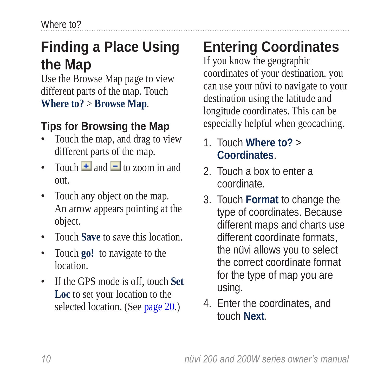# <span id="page-15-0"></span>**Finding a Place Using the Map**

Use the Browse Map page to view different parts of the map. Touch **Where to?** > **Browse Map**.

#### **Tips for Browsing the Map**

- Touch the map, and drag to view different parts of the map.
- Touch  $\pm$  and  $\pm$  to zoom in and out.
- Touch any object on the map. An arrow appears pointing at the object.
- Touch **Save** to save this location. •
- Touch **go!** to navigate to the location. •
- If the GPS mode is off, touch **Set Loc** to set your location to the selected location. (See [page 20](#page-25-1).) •

# **Entering Coordinates**

If you know the geographic coordinates of your destination, you can use your nüvi to navigate to your destination using the latitude and longitude coordinates. This can be especially helpful when geocaching.

- 1. Touch **Where to?** > **Coordinates**.
- 2. Touch a box to enter a coordinate.
- 3. Touch **Format** to change the type of coordinates. Because different maps and charts use different coordinate formats, the nüvi allows you to select the correct coordinate format for the type of map you are using.
- 4. Enter the coordinates, and touch **Next**.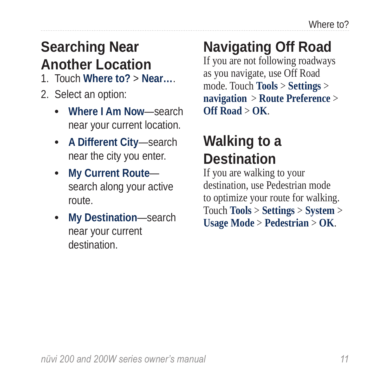# <span id="page-16-0"></span>**Searching Near Another Location**

- 1. Touch **Where to?** > **Near…**.
- 2. Select an option:
	- **Where I Am Now**—search **•** near your current location.
	- **A Different City**—search **•** near the city you enter.
	- **My Current Route** search along your active route. **•**
	- **My Destination**—search **•** near your current destination.

# **Navigating Off Road**

If you are not following roadways as you navigate, use Off Road mode. Touch **Tools** > **Settings** > **navigation** > **Route Preference** > **Off Road** > **OK**.

# **Walking to a Destination**

If you are walking to your destination, use Pedestrian mode to optimize your route for walking. Touch **Tools** > **Settings** > **System** > **Usage Mode** > **Pedestrian** > **OK**.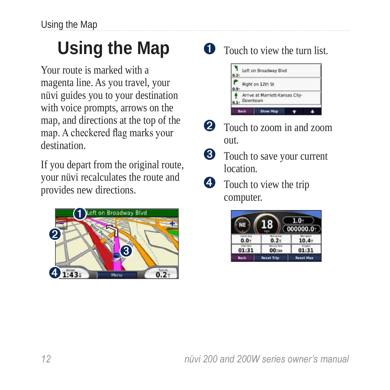# <span id="page-17-0"></span>**Using the Map**

Your route is marked with a magenta line. As you travel, your nüvi guides you to your destination with voice prompts, arrows on the map, and directions at the top of the map. A checkered flag marks your destination.

If you depart from the original route, your nüvi recalculates the route and provides new directions.



**t** Touch to view the turn list.



- **2** Touch to zoom in and zoom out.
- **3** Touch to save your current **location**
- **4** Touch to view the trip computer.

| <b>NE</b>        |                   | 1.0 <sub>7</sub><br>000000.0 |
|------------------|-------------------|------------------------------|
| 0.0 <sub>z</sub> | 0.2 <sub>z</sub>  | 10.4 <sub>7</sub>            |
| 01:31            | 00:50             | 01:31                        |
| Back             | <b>Reset Trip</b> | <b>Reset Max</b>             |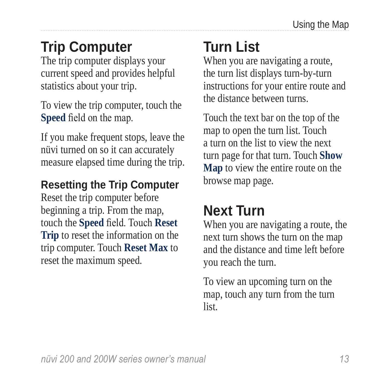# <span id="page-18-0"></span>**Trip Computer**

The trip computer displays your current speed and provides helpful statistics about your trip.

To view the trip computer, touch the **Speed** field on the map.

If you make frequent stops, leave the nüvi turned on so it can accurately measure elapsed time during the trip.

#### **Resetting the Trip Computer**

Reset the trip computer before beginning a trip. From the map, touch the **Speed** field. Touch **Reset Trip** to reset the information on the trip computer. Touch **Reset Max** to reset the maximum speed.

# **Turn List**

When you are navigating a route, the turn list displays turn-by-turn instructions for your entire route and the distance between turns.

Touch the text bar on the top of the map to open the turn list. Touch a turn on the list to view the next turn page for that turn. Touch **Show Map** to view the entire route on the browse map page.

# **Next Turn**

When you are navigating a route, the next turn shows the turn on the map and the distance and time left before you reach the turn.

To view an upcoming turn on the map, touch any turn from the turn list.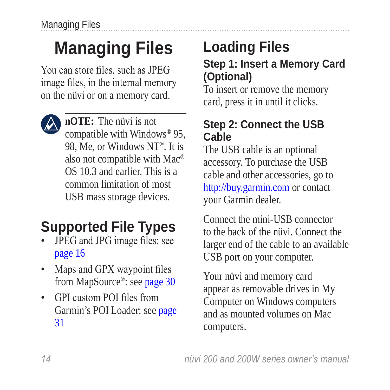# <span id="page-19-0"></span>**Managing Files**

You can store files, such as JPEG image files, in the internal memory on the nüvi or on a memory card.



**nOTE:** The nüvi is not compatible with Windows® 95, 98, Me, or Windows NT®. It is also not compatible with Mac® OS 10.3 and earlier. This is a common limitation of most USB mass storage devices.

# **Supported File Types**

- JPEG and JPG image files: see [page 16](#page-21-1) •
- Maps and GPX waypoint files from MapSource®: see [page 30](#page-35-1) •
- GPI custom POI files from Garmin's POI Loader: see [page](#page-36-1)  [31](#page-36-1)

#### **Loading Files Step 1: Insert a Memory Card (Optional)**

To insert or remove the memory card, press it in until it clicks.

#### **Step 2: Connect the USB Cable**

The USB cable is an optional accessory. To purchase the USB cable and other accessories, go to <http://buy.garmin.com>or contact your Garmin dealer.

Connect the mini-USB connector to the back of the nüvi. Connect the larger end of the cable to an available USB port on your computer.

Your nüvi and memory card appear as removable drives in My Computer on Windows computers and as mounted volumes on Mac computers.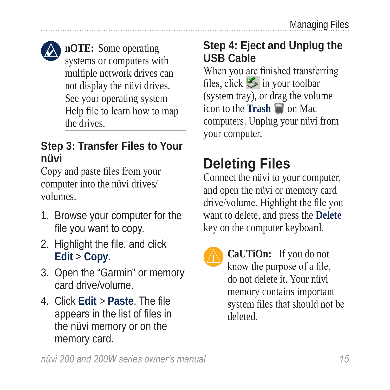<span id="page-20-0"></span>

**nOTE:** Some operating systems or computers with multiple network drives can not display the nüvi drives. See your operating system Help file to learn how to map the drives.

#### **Step 3: Transfer Files to Your nüvi**

Copy and paste files from your computer into the nüvi drives/ volumes.

- 1. Browse your computer for the file you want to copy.
- 2. Highlight the file, and click **Edit** > **Copy**.
- 3. Open the "Garmin" or memory card drive/volume.
- 4. Click **Edit** > **Paste**. The file appears in the list of files in the nüvi memory or on the memory card.

#### **Step 4: Eject and Unplug the USB Cable**

When you are finished transferring files, click  $\leq$  in your toolbar (system tray), or drag the volume icon to the **Trash** on Mac computers. Unplug your nüvi from your computer.

# **Deleting Files**

Connect the nüvi to your computer, and open the nüvi or memory card drive/volume. Highlight the file you want to delete, and press the **Delete** key on the computer keyboard.

**CaUTiOn:** If you do not know the purpose of a file, do not delete it. Your nüvi memory contains important system files that should not be deleted.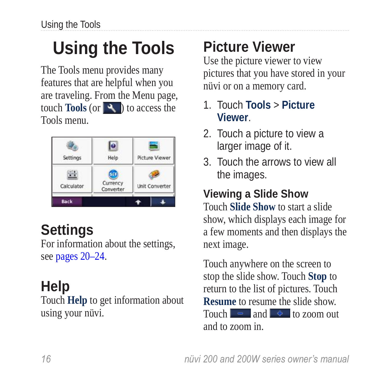# <span id="page-21-0"></span>**Using the Tools**

The Tools menu provides many features that are helpful when you are traveling. From the Menu page, touch **Tools** (or ) to access the Tools menu.



# **Settings**

For information about the settings, see [pages 20](#page-25-2)[–24.](#page-29-1)

# **Help**

Touch **Help** to get information about using your nüvi.

# <span id="page-21-1"></span>**Picture Viewer**

Use the picture viewer to view pictures that you have stored in your nüvi or on a memory card.

#### 1. Touch **Tools** > **Picture Viewer**.

- 2. Touch a picture to view a larger image of it.
- 3. Touch the arrows to view all the images.

## **Viewing a Slide Show**

Touch **Slide Show** to start a slide show, which displays each image for a few moments and then displays the next image.

Touch anywhere on the screen to stop the slide show. Touch **Stop** to return to the list of pictures. Touch **Resume** to resume the slide show. Touch  $\begin{bmatrix} - \\ - \end{bmatrix}$  and  $\begin{bmatrix} - \\ \end{bmatrix}$  to zoom out and to zoom in.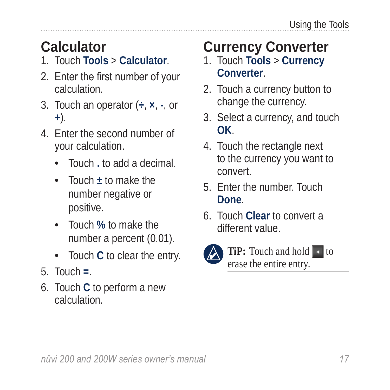## <span id="page-22-0"></span>**Calculator**

- 1. Touch **Tools** > **Calculator**.
- 2. Enter the first number of your calculation.
- 3. Touch an operator (**÷**, **×**, **-**, or **+**).
- 4. Enter the second number of your calculation.
	- Touch **.** to add a decimal. •
	- Touch **±** to make the number negative or positive.
	- Touch **%** to make the number a percent (0.01).
	- Touch **C** to clear the entry.
- 5. Touch **=**.
- 6. Touch **C** to perform a new calculation.

# **Currency Converter**

- 1. Touch **Tools** > **Currency Converter**.
- 2. Touch a currency button to change the currency.
- 3. Select a currency, and touch **OK**.
- 4. Touch the rectangle next to the currency you want to convert.
- 5. Enter the number. Touch **Done**.
- 6. Touch **Clear** to convert a different value.



**TiP:** Touch and hold **to** erase the entire entry.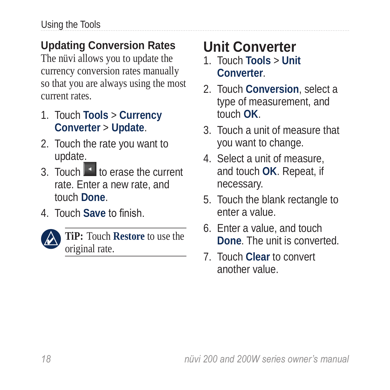#### <span id="page-23-0"></span>**Updating Conversion Rates**

The nüvi allows you to update the currency conversion rates manually so that you are always using the most current rates.

- 1. Touch **Tools** > **Currency Converter** > **Update**.
- 2. Touch the rate you want to update.
- $3.$  Touch  $\blacktriangleright$  to erase the current rate. Enter a new rate, and touch **Done**.
- 4. Touch **Save** to finish.



**Tip:** Touch **Restore** to use the original rate.

# **Unit Converter**

- 1. Touch **Tools** > **Unit Converter**.
- 2. Touch **Conversion**, select a type of measurement, and touch **OK**.
- 3. Touch a unit of measure that you want to change.
- 4. Select a unit of measure, and touch **OK**. Repeat, if necessary.
- 5. Touch the blank rectangle to enter a value.
- 6. Enter a value, and touch **Done**. The unit is converted.
- 7. Touch **Clear** to convert another value.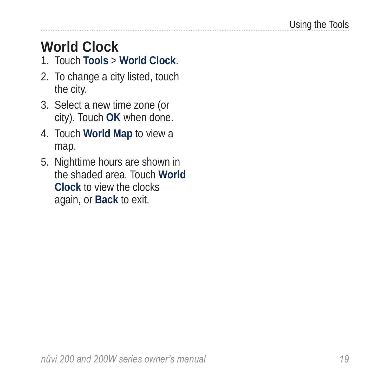# <span id="page-24-0"></span>**World Clock**

- 1. Touch **Tools** > **World Clock**.
- 2. To change a city listed, touch the city.
- 3. Select a new time zone (or city). Touch **OK** when done.
- 4. Touch **World Map** to view a map.
- 5. Nighttime hours are shown in the shaded area. Touch **World Clock** to view the clocks again, or **Back** to exit.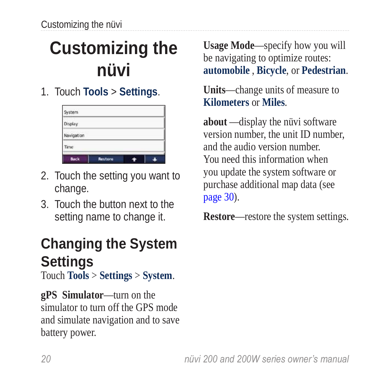# <span id="page-25-2"></span><span id="page-25-0"></span>**Customizing the nüvi**

1. Touch **Tools** > **Settings**.

| System      |         |  |
|-------------|---------|--|
| Display     |         |  |
| Navigation  |         |  |
| Time        |         |  |
| <b>Back</b> | Restore |  |

- 2. Touch the setting you want to change.
- 3. Touch the button next to the setting name to change it.

## **Changing the System Settings**

Touch **Tools** > **Settings** > **System**.

<span id="page-25-1"></span>**gPS Simulator**—turn on the simulator to turn off the GPS mode and simulate navigation and to save battery power.

**Usage Mode**—specify how you will be navigating to optimize routes: **automobile** , **Bicycle**, or **Pedestrian**.

**Units**—change units of measure to **Kilometers** or **Miles**.

<span id="page-25-3"></span>**about** —display the nüvi software version number, the unit ID number, and the audio version number. You need this information when you update the system software or purchase additional map data (see [page 30](#page-35-1)).

**Restore**—restore the system settings.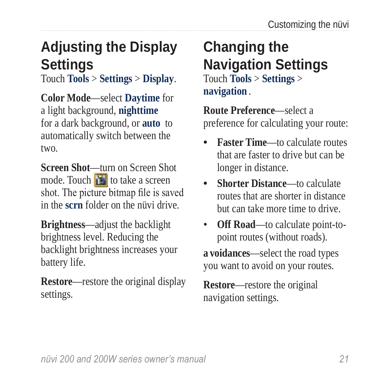# <span id="page-26-0"></span>**Adjusting the Display Settings**

Touch **Tools** > **Settings** > **Display**.

**Color Mode**—select **Daytime** for a light background, **nighttime**  for a dark background, or **auto** to automatically switch between the two.

**Screen Shot**—turn on Screen Shot mode. Touch  $\mathbf{t}$  to take a screen shot. The picture bitmap file is saved in the **scrn** folder on the nüvi drive.

**Brightness**—adjust the backlight brightness level. Reducing the backlight brightness increases your battery life.

**Restore—restore** the original display settings.

#### **Changing the Navigation Settings** Touch **Tools** > **Settings** >

**navigation** .

**Route Preference**—select a preference for calculating your route:

- **Faster Time**—to calculate routes that are faster to drive but can be longer in distance. **•**
- **Shorter Distance**—to calculate routes that are shorter in distance but can take more time to drive. **•**
- **Off Road**—to calculate point-topoint routes (without roads). •

**a voidances**—select the road types you want to avoid on your routes.

**Restore**—restore the original navigation settings.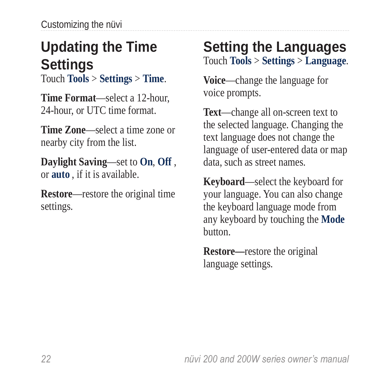<span id="page-27-0"></span>Customizing the nüvi

# **Updating the Time Settings**

Touch **Tools** > **Settings** > **Time**.

**Time Format**—select a 12-hour, 24-hour, or UTC time format.

**Time Zone**—select a time zone or nearby city from the list.

**Daylight Saving**—set to **On**, **Off** , or **auto** , if it is available.

**Restore**—restore the original time settings.

#### **Setting the Languages** Touch **Tools** > **Settings** > **Language**.

**Voice**—change the language for voice prompts.

**Text**—change all on-screen text to the selected language. Changing the text language does not change the language of user-entered data or map data, such as street names.

**Keyboard**—select the keyboard for your language. You can also change the keyboard language mode from any keyboard by touching the **Mode**  button.

**Restore—**restore the original language settings.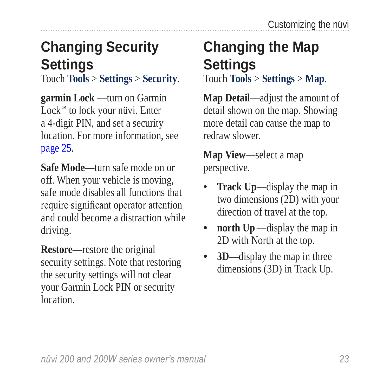# <span id="page-28-0"></span>**Changing Security Settings**

Touch **Tools** > **Settings** > **Security**.

**garmin Lock** —turn on Garmin Lock™ to lock your nüvi. Enter a 4-digit PIN, and set a security location. For more information, see [page 25.](#page-30-1)

**Safe Mode**—turn safe mode on or off. When your vehicle is moving, safe mode disables all functions that require significant operator attention and could become a distraction while driving.

**Restore**—restore the original security settings. Note that restoring the security settings will not clear your Garmin Lock PIN or security **location** 

# **Changing the Map Settings**

Touch **Tools** > **Settings** > **Map**.

**Map Detail**—adjust the amount of detail shown on the map. Showing more detail can cause the map to redraw slower.

**Map View**—select a map perspective.

- **Track Up**—display the map in two dimensions (2D) with your direction of travel at the top. •
- **north Up**—display the map in 2D with North at the top. **•**
- **3D**—display the map in three dimensions (3D) in Track Up. **•**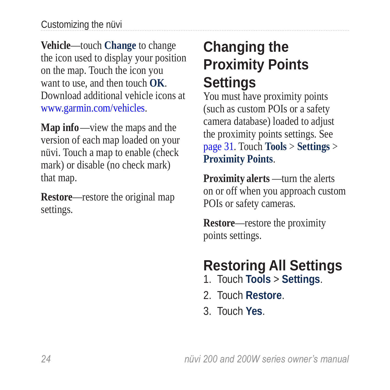<span id="page-29-0"></span>**Vehicle**—touch **Change** to change the icon used to display your position on the map. Touch the icon you want to use, and then touch **OK**. Download additional vehicle icons at <www.garmin.com/vehicles>.

**Map info**—view the maps and the version of each map loaded on your nüvi. Touch a map to enable (check mark) or disable (no check mark) that map.

**Restore**—restore the original map settings.

# **Changing the Proximity Points Settings**

You must have proximity points (such as custom POIs or a safety camera database) loaded to adjust the proximity points settings. See [page 31](#page-36-1). Touch **Tools** > **Settings** > **Proximity Points**.

**Proximity alerts** —turn the alerts on or off when you approach custom POIs or safety cameras.

**Restore**—restore the proximity points settings.

# <span id="page-29-1"></span>**Restoring All Settings**

- 1. Touch **Tools** > **Settings**.
- 2. Touch **Restore**.
- 3. Touch **Yes**.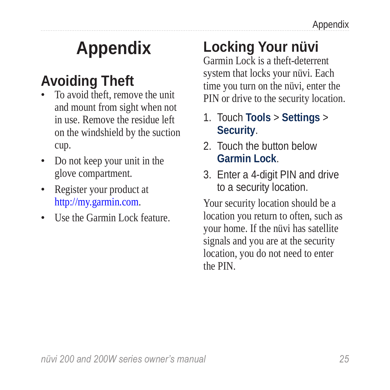# **Appendix**

# <span id="page-30-0"></span>**Avoiding Theft**

- To avoid theft, remove the unit and mount from sight when not in use. Remove the residue left on the windshield by the suction cup. •
- Do not keep your unit in the glove compartment.
- Register your product at [http://my.garmin.com.](http://my.garmin.com)
- Use the Garmin Lock feature. •

# <span id="page-30-1"></span>**Locking Your nüvi**

Garmin Lock is a theft-deterrent system that locks your nüvi. Each time you turn on the nüvi, enter the PIN or drive to the security location.

- 1. Touch **Tools** > **Settings** > **Security**.
- 2. Touch the button below **Garmin Lock**.
- 3. Enter a 4-digit PIN and drive to a security location.

Your security location should be a location you return to often, such as your home. If the nüvi has satellite signals and you are at the security location, you do not need to enter the PIN.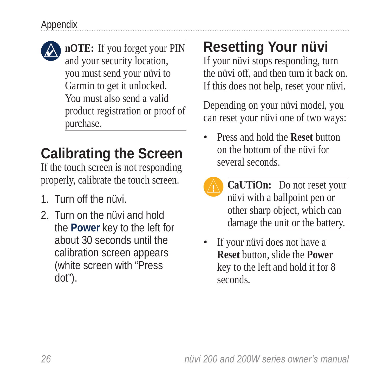<span id="page-31-0"></span>

**nOTE:** If you forget your PIN and your security location, you must send your nüvi to Garmin to get it unlocked. You must also send a valid product registration or proof of purchase.

# <span id="page-31-2"></span>**Calibrating the Screen**

If the touch screen is not responding properly, calibrate the touch screen.

- 1. Turn off the nüvi.
- 2. Turn on the nüvi and hold the **Power** key to the left for about 30 seconds until the calibration screen appears (white screen with "Press dot").

# <span id="page-31-1"></span>**Resetting Your nüvi**

If your nüvi stops responding, turn the nüvi off, and then turn it back on. If this does not help, reset your nüvi.

Depending on your nüvi model, you can reset your nüvi one of two ways:

- Press and hold the **Reset** button on the bottom of the nüvi for several seconds. •
	- **CaUTiOn:** Do not reset your nüvi with a ballpoint pen or other sharp object, which can damage the unit or the battery.
- If your nüvi does not have a **Reset** button, slide the **Power** key to the left and hold it for 8 seconds. •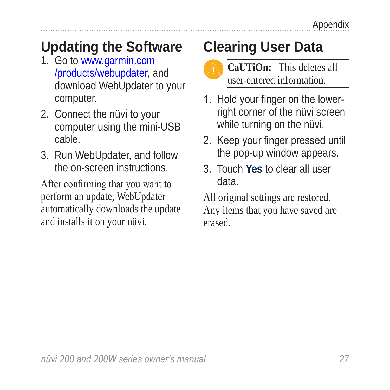## <span id="page-32-0"></span>**Updating the Software**

- 1. Go to [www.garmin.com](www.garmin.com/products/webupdater) [/products/webupdater](www.garmin.com/products/webupdater), and download WebUpdater to your computer.
- 2. Connect the nüvi to your computer using the mini-USB cable.
- 3. Run WebUpdater, and follow the on-screen instructions.

After confirming that you want to perform an update, WebUpdater automatically downloads the update and installs it on your nüvi.

# **Clearing User Data**



Ca**UTiOn:** This deletes all user-entered information.

- 1. Hold your finger on the lowerright corner of the nüvi screen while turning on the nüvi.
- 2. Keep your finger pressed until the pop-up window appears.
- 3. Touch **Yes** to clear all user data.

All original settings are restored. Any items that you have saved are erased.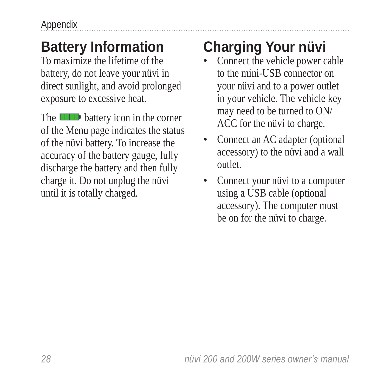# <span id="page-33-0"></span>**Battery Information**

To maximize the lifetime of the battery, do not leave your nüvi in direct sunlight, and avoid prolonged exposure to excessive heat.

The **THE** battery icon in the corner of the Menu page indicates the status of the nüvi battery. To increase the accuracy of the battery gauge, fully discharge the battery and then fully charge it. Do not unplug the nüvi until it is totally charged.

# **Charging Your nüvi**

- Connect the vehicle power cable to the mini-USB connector on your nüvi and to a power outlet in your vehicle. The vehicle key may need to be turned to ON/ ACC for the nüvi to charge. •
- Connect an AC adapter (optional accessory) to the nüvi and a wall outlet. •
- Connect your nüvi to a computer using a USB cable (optional accessory). The computer must be on for the nüvi to charge. •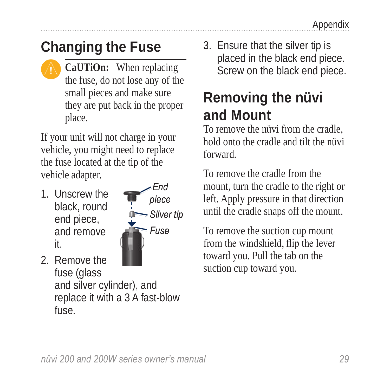## <span id="page-34-1"></span><span id="page-34-0"></span>**Changing the Fuse**

**CaUTiOn:** When replacing the fuse, do not lose any of the small pieces and make sure they are put back in the proper place.

If your unit will not charge in your vehicle, you might need to replace the fuse located at the tip of the vehicle adapter.

1. Unscrew the black, round end piece, and remove it.



2. Remove the fuse (glass and silver cylinder), and replace it with a 3 A fast-blow fuse.

3. Ensure that the silver tip is placed in the black end piece. Screw on the black end piece.

# **Removing the nüvi and Mount**

To remove the nüvi from the cradle, hold onto the cradle and tilt the nüvi forward.

To remove the cradle from the mount, turn the cradle to the right or left. Apply pressure in that direction until the cradle snaps off the mount.

To remove the suction cup mount from the windshield, flip the lever toward you. Pull the tab on the suction cup toward you.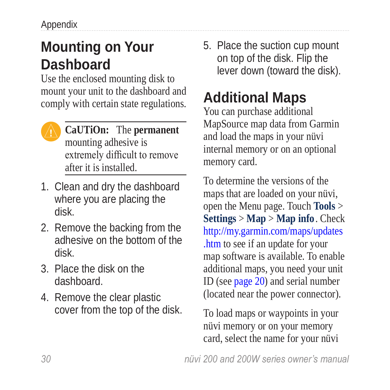# <span id="page-35-0"></span>**Mounting on Your Dashboard**

Use the enclosed mounting disk to mount your unit to the dashboard and comply with certain state regulations.



**Caution:** The **permanent** mounting adhesive is extremely difficult to remove after it is installed.

- 1. Clean and dry the dashboard where you are placing the disk.
- 2. Remove the backing from the adhesive on the bottom of the disk.
- 3. Place the disk on the dashboard.
- 4. Remove the clear plastic cover from the top of the disk.

5. Place the suction cup mount on top of the disk. Flip the lever down (toward the disk).

# <span id="page-35-1"></span>**Additional Maps**

You can purchase additional MapSource map data from Garmin and load the maps in your nüvi internal memory or on an optional memory card.

To determine the versions of the maps that are loaded on your nüvi, open the Menu page. Touch **Tools** > **Settings** > **Map** > **Map info**. Check [http://my.garmin.com/maps/updates](http://my.garmin.com/maps/updates.htm) [.htm](http://my.garmin.com/maps/updates.htm) to see if an update for your map software is available. To enable additional maps, you need your unit ID (see [page 20](#page-25-3)) and serial number (located near the power connector).

To load maps or waypoints in your nüvi memory or on your memory card, select the name for your nüvi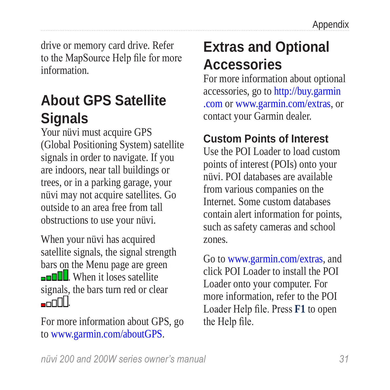<span id="page-36-0"></span>drive or memory card drive. Refer to the MapSource Help file for more information.

## **About GPS Satellite Signals**

Your nüvi must acquire GPS (Global Positioning System) satellite signals in order to navigate. If you are indoors, near tall buildings or trees, or in a parking garage, your nüvi may not acquire satellites. Go outside to an area free from tall obstructions to use your nüvi.

When your nüvi has acquired satellite signals, the signal strength bars on the Menu page are green  $\Box$  When it loses satellite signals, the bars turn red or clear \_\_\_\_\_

For more information about GPS, go to <www.garmin.com/aboutGPS>.

# **Extras and Optional Accessories**

For more information about optional accessories, go to [http://buy.garmin](http://buy.garmin.com) [.com](http://buy.garmin.com) or <www.garmin.com/extras>, or contact your Garmin dealer.

#### <span id="page-36-1"></span>**Custom Points of Interest**

Use the POI Loader to load custom points of interest (POIs) onto your nüvi. POI databases are available from various companies on the Internet. Some custom databases contain alert information for points, such as safety cameras and school zones.

Go to <www.garmin.com/extras>, and click POI Loader to install the POI Loader onto your computer. For more information, refer to the POI Loader Help file. Press **F1** to open the Help file.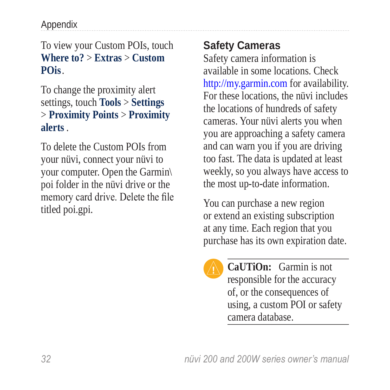<span id="page-37-1"></span>Appendix

#### To view your Custom POIs, touch **Where to?** > **Extras** > **Custom POis**.

To change the proximity alert settings, touch **Tools** > **Settings** > **Proximity Points** > **Proximity alerts** .

To delete the Custom POIs from your nüvi, connect your nüvi to your computer. Open the Garmin\ poi folder in the nüvi drive or the memory card drive. Delete the file titled poi.gpi.

#### <span id="page-37-0"></span>**Safety Cameras**

Safety camera information is available in some locations. Check <http://my.garmin.com> for availability. For these locations, the nüvi includes the locations of hundreds of safety cameras. Your nüvi alerts you when you are approaching a safety camera and can warn you if you are driving too fast. The data is updated at least weekly, so you always have access to the most up-to-date information.

You can purchase a new region or extend an existing subscription at any time. Each region that you purchase has its own expiration date.



**CaUTiOn:** Garmin is not responsible for the accuracy of, or the consequences of using, a custom POI or safety camera database.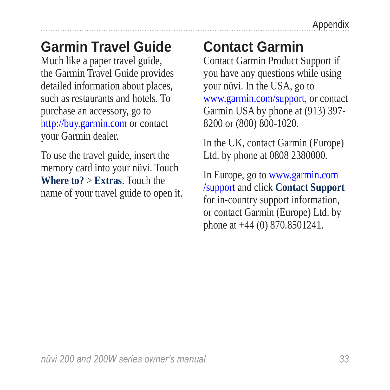## <span id="page-38-0"></span>**Garmin Travel Guide**

Much like a paper travel guide, the Garmin Travel Guide provides detailed information about places, such as restaurants and hotels. To purchase an accessory, go to <http://buy.garmin.com> or contact your Garmin dealer.

To use the travel guide, insert the memory card into your nüvi. Touch **Where to?** > **Extras**. Touch the name of your travel guide to open it.

# **Contact Garmin**

Contact Garmin Product Support if you have any questions while using your nüvi. In the USA, go to <www.garmin.com/support>, or contact Garmin USA by phone at (913) 397- 8200 or (800) 800-1020.

In the UK, contact Garmin (Europe) Ltd. by phone at 0808 2380000.

In Europe, go to [www.garmin.com](www.garmin.com/support) [/support](www.garmin.com/support) and click **Contact Support** for in-country support information, or contact Garmin (Europe) Ltd. by phone at +44 (0) 870.8501241.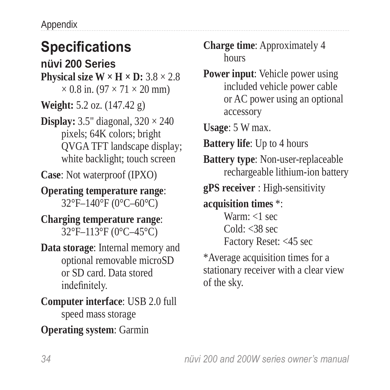<span id="page-39-0"></span>Appendix

# **Specifications**

**nüvi 200 Series**

**Physical size**  $W \times H \times D$ **:** 3.8  $\times$  2.8  $\times$  0.8 in. (97  $\times$  71  $\times$  20 mm)

**Weight:** 5.2 oz. (147.42 g)

**Display:**  $3.5$ " diagonal,  $320 \times 240$ pixels; 64K colors; bright QVGA TFT landscape display; white backlight; touch screen

**Case**: Not waterproof (IPXO)

**Operating temperature range**: 32°F–140°F (0°C–60°C)

**Charging temperature range**: 32°F–113°F (0°C–45°C)

**Data storage**: Internal memory and optional removable microSD or SD card. Data stored indefinitely.

**Computer interface**: USB 2.0 full speed mass storage

#### **Operating system**: Garmin

**Charge time**: Approximately 4 hours

**Power input**: Vehicle power using included vehicle power cable or AC power using an optional accessory

**Usage**: 5 W max.

**Battery life**: Up to 4 hours

**Battery type**: Non-user-replaceable rechargeable lithium-ion battery

**gPS receiver** : High-sensitivity

**acquisition times** \*: Warm: <1 sec Cold: <38 sec Factory Reset: <45 sec

\*Average acquisition times for a stationary receiver with a clear view of the sky.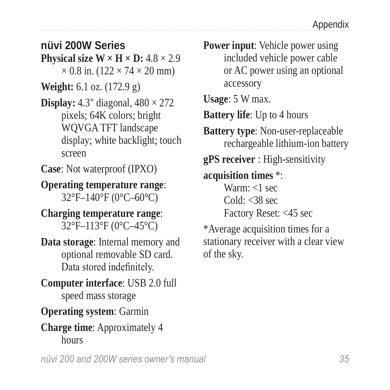#### <span id="page-40-0"></span>**nüvi 200W Series**

**Physical size**  $W \times H \times D$ **:**  $4.8 \times 2.9$  $\times$  0.8 in. (122  $\times$  74  $\times$  20 mm)

**Weight:** 6.1 oz. (172.9 g)

**Display:**  $4.3$ " diagonal,  $480 \times 272$ pixels; 64K colors; bright WQVGA TFT landscape display; white backlight; touch screen

**Case**: Not waterproof (IPXO)

**Operating temperature range**: 32°F–140°F (0°C–60°C)

**Charging temperature range**: 32°F–113°F (0°C–45°C)

**Data storage**: Internal memory and optional removable SD card. Data stored indefinitely.

**Computer interface**: USB 2.0 full speed mass storage

**Operating system**: Garmin

#### **Charge time**: Approximately 4 hours

*nüvi 200 and 200W series owner's manual 35*

**Power input**: Vehicle power using included vehicle power cable or AC power using an optional accessory

**Usage**: 5 W max.

**Battery life**: Up to 4 hours

**Battery type**: Non-user-replaceable rechargeable lithium-ion battery

**gPS receiver** : High-sensitivity

#### **acquisition times** \*:

Warm: <1 sec Cold: <38 sec Factory Reset: <45 sec

\*Average acquisition times for a stationary receiver with a clear view of the sky.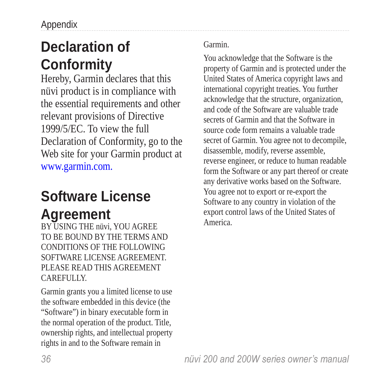## <span id="page-41-0"></span>**Declaration of Conformity**

Hereby, Garmin declares that this nüvi product is in compliance with the essential requirements and other relevant provisions of Directive 1999/5/EC. To view the full Declaration of Conformity, go to the Web site for your Garmin product at [www.garmin.com.](www.garmin.com)

#### **Software License Agreement**

BY USING THE nüvi, YOU AGREE TO BE BOUND BY THE TERMS AND CONDITIONS OF THE FOLLOWING SOFTWARE LICENSE AGREEMENT. PLEASE READ THIS AGREEMENT **CAREFULLY** 

Garmin grants you a limited license to use the software embedded in this device (the "Software") in binary executable form in the normal operation of the product. Title, ownership rights, and intellectual property rights in and to the Software remain in

Garmin.

You acknowledge that the Software is the property of Garmin and is protected under the United States of America copyright laws and international copyright treaties. You further acknowledge that the structure, organization, and code of the Software are valuable trade secrets of Garmin and that the Software in source code form remains a valuable trade secret of Garmin. You agree not to decompile, disassemble, modify, reverse assemble, reverse engineer, or reduce to human readable form the Software or any part thereof or create any derivative works based on the Software. You agree not to export or re-export the Software to any country in violation of the export control laws of the United States of America.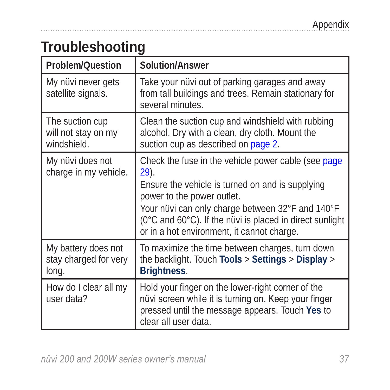## <span id="page-42-0"></span>**Troubleshooting**

| <b>Problem/Question</b>                               | <b>Solution/Answer</b>                                                                                                                                                                                                                                                                                                              |
|-------------------------------------------------------|-------------------------------------------------------------------------------------------------------------------------------------------------------------------------------------------------------------------------------------------------------------------------------------------------------------------------------------|
| My nüvi never gets<br>satellite signals.              | Take your nüvi out of parking garages and away<br>from tall buildings and trees. Remain stationary for<br>several minutes.                                                                                                                                                                                                          |
| The suction cup<br>will not stay on my<br>windshield. | Clean the suction cup and windshield with rubbing<br>alcohol. Dry with a clean, dry cloth. Mount the<br>suction cup as described on page 2.                                                                                                                                                                                         |
| My nüvi does not<br>charge in my vehicle.             | Check the fuse in the vehicle power cable (see page<br>$29$ ).<br>Ensure the vehicle is turned on and is supplying<br>power to the power outlet.<br>Your nüvi can only charge between 32°F and 140°F<br>$(0^{\circ}$ C and 60 $^{\circ}$ C). If the nüvi is placed in direct sunlight<br>or in a hot environment, it cannot charge. |
| My battery does not<br>stay charged for very<br>long. | To maximize the time between charges, turn down<br>the backlight. Touch <b>Tools</b> $>$ <b>Settings</b> $>$ <b>Display</b> $>$<br><b>Brightness.</b>                                                                                                                                                                               |
| How do I clear all my<br>user data?                   | Hold your finger on the lower-right corner of the<br>nüvi screen while it is turning on. Keep your finger<br>pressed until the message appears. Touch Yes to<br>clear all user data.                                                                                                                                                |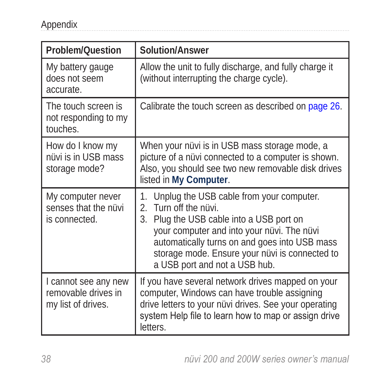<span id="page-43-0"></span>

| <b>Problem/Question</b>                                           | <b>Solution/Answer</b>                                                                                                                                                                                                                                                                                   |
|-------------------------------------------------------------------|----------------------------------------------------------------------------------------------------------------------------------------------------------------------------------------------------------------------------------------------------------------------------------------------------------|
| My battery gauge<br>does not seem<br>accurate.                    | Allow the unit to fully discharge, and fully charge it<br>(without interrupting the charge cycle).                                                                                                                                                                                                       |
| The touch screen is<br>not responding to my<br>touches.           | Calibrate the touch screen as described on page 26.                                                                                                                                                                                                                                                      |
| How do I know my<br>nüvi is in USB mass<br>storage mode?          | When your nüvi is in USB mass storage mode, a<br>picture of a nüvi connected to a computer is shown.<br>Also, you should see two new removable disk drives<br>listed in My Computer.                                                                                                                     |
| My computer never<br>senses that the nüvi<br>is connected.        | Unplug the USB cable from your computer.<br>1.<br>2. Turn off the nüvi.<br>3.<br>Plug the USB cable into a USB port on<br>your computer and into your nüvi. The nüvi<br>automatically turns on and goes into USB mass<br>storage mode. Ensure your nüvi is connected to<br>a USB port and not a USB hub. |
| I cannot see any new<br>removable drives in<br>my list of drives. | If you have several network drives mapped on your<br>computer, Windows can have trouble assigning<br>drive letters to your nüvi drives. See your operating<br>system Help file to learn how to map or assign drive<br>letters.                                                                           |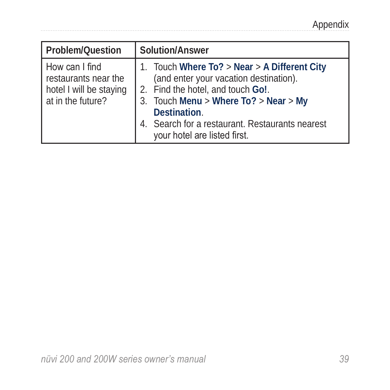| <b>Problem/Question</b>                                                                | <b>Solution/Answer</b>                                                                                                                                                                                                                                                         |
|----------------------------------------------------------------------------------------|--------------------------------------------------------------------------------------------------------------------------------------------------------------------------------------------------------------------------------------------------------------------------------|
| How can I find<br>restaurants near the<br>hotel I will be staying<br>at in the future? | 1. Touch Where To? > Near > A Different City<br>(and enter your vacation destination).<br>2. Find the hotel, and touch Go!.<br>3. Touch Menu > Where To? > Near > My<br><b>Destination.</b><br>4. Search for a restaurant. Restaurants nearest<br>your hotel are listed first. |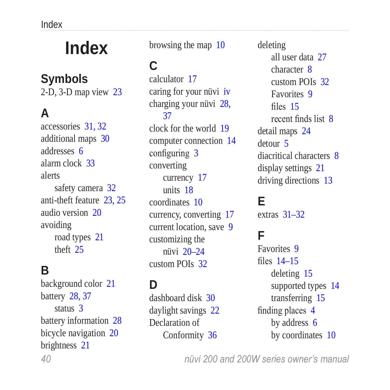#### <span id="page-45-0"></span>**Symbols**

2-D, 3-D map view [23](#page-28-0)

#### **A**

accessories [31,](#page-36-0) [32](#page-37-1) additional maps [30](#page-35-0) addresses [6](#page-11-0) alarm clock [33](#page-38-0) alerts safety camera [32](#page-37-1) anti-theft feature [23,](#page-28-0) [25](#page-30-0) audio version [20](#page-25-0) avoiding road types [21](#page-26-0) theft [25](#page-30-0)

#### **B**

background color [21](#page-26-0) battery [28,](#page-33-0) [37](#page-42-0) status [3](#page-8-0) battery information [28](#page-33-0) bicycle navigation [20](#page-25-0) brightness [21](#page-26-0)

browsing the map [10](#page-15-0)

#### **C**

calculator [17](#page-22-0) caring for your nüvi [iv](#page-5-0) charging your nüvi [28,](#page-33-0) [37](#page-42-0) clock for the world [19](#page-24-0) computer connection [14](#page-19-0) configuring [3](#page-8-0) converting currency [17](#page-22-0) units [18](#page-23-0) coordinates [10](#page-15-0) currency, converting [17](#page-22-0) current location, save [9](#page-14-0) customizing the nüvi [20](#page-25-0)–[24](#page-29-0) custom POIs [32](#page-37-1)

#### **D**

dashboard disk [30](#page-35-0) daylight savings [22](#page-27-0) Declaration of Conformity [36](#page-41-0)

deleting all user data [27](#page-32-0) character [8](#page-13-0) custom POIs [32](#page-37-1) Favorites [9](#page-14-0) files [15](#page-20-0) recent finds list [8](#page-13-0) detail maps [24](#page-29-0) detour [5](#page-10-0) diacritical characters [8](#page-13-0) display settings [21](#page-26-0) driving directions [13](#page-18-0)

#### **E**

extras [31–](#page-36-0)[32](#page-37-1)

#### **F**

Favorites [9](#page-14-0) files [14](#page-19-0)[–15](#page-20-0) deleting [15](#page-20-0) supported types [14](#page-19-0) transferring [15](#page-20-0) finding places [4](#page-9-0) by address [6](#page-11-0) by coordinates [10](#page-15-0)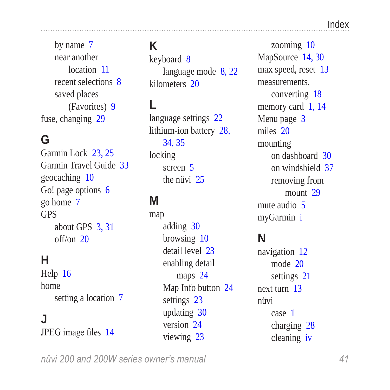by name [7](#page-12-0) near another location [11](#page-16-0) recent selections [8](#page-13-0) saved places (Favorites) [9](#page-14-0) fuse, changing [29](#page-34-0)

#### **G**

Garmin Lock [23](#page-28-0), [25](#page-30-0) Garmin Travel Guide [33](#page-38-0) geocaching [10](#page-15-0) Go! page options [6](#page-11-0) go home [7](#page-12-0) GPS about GPS [3,](#page-8-0) [31](#page-36-0) off/on [20](#page-25-0)

#### **H**

Help [16](#page-21-0) home setting a location [7](#page-12-0)

#### **J**

JPEG image files [14](#page-19-0)

#### **K**

keyboard [8](#page-13-0) language mode [8](#page-13-0), [22](#page-27-0) kilometers [20](#page-25-0)

#### **L**

language settings [22](#page-27-0) lithium-ion battery [28](#page-33-0), [34,](#page-39-0) [35](#page-40-0) locking screen [5](#page-10-0)

the nüvi [25](#page-30-0)

#### **M**

map adding [30](#page-35-0) browsing [10](#page-15-0) detail level [23](#page-28-0) enabling detail maps [24](#page-29-0) Map Info button [24](#page-29-0) settings [23](#page-28-0) updating [30](#page-35-0) version [24](#page-29-0) viewing [23](#page-28-0)

zooming [10](#page-15-0) MapSource [14,](#page-19-0) [30](#page-35-0) max speed, reset [13](#page-18-0) measurements, converting [18](#page-23-0) memory card [1](#page-6-0), [14](#page-19-0) Menu page [3](#page-8-0) miles [20](#page-25-0) mounting on dashboard [30](#page-35-0) on windshield [37](#page-42-0) removing from mount [29](#page-34-0) mute audio [5](#page-10-0) myGarmin [i](#page-2-0)

#### **N**

navigation [12](#page-17-0) mode [20](#page-25-0) settings [21](#page-26-0) next turn [13](#page-18-0) nüvi case [1](#page-6-0) charging [28](#page-33-0) cleaning [iv](#page-5-0)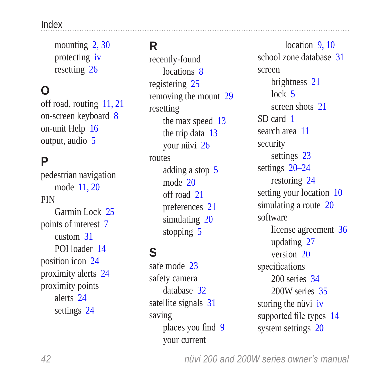mounting [2,](#page-7-0) [30](#page-35-0) protecting [iv](#page-5-0) resetting [26](#page-31-0)

#### **O**

off road, routing [11](#page-16-0), [21](#page-26-0) on-screen keyboard [8](#page-13-0) on-unit Help [16](#page-21-0) output, audio [5](#page-10-0)

#### **P**

pedestrian navigation mode [11](#page-16-0), [20](#page-25-0) PIN Garmin Lock [25](#page-30-0) points of interest [7](#page-12-0) custom [31](#page-36-0) POI loader [14](#page-19-0) position icon [24](#page-29-0) proximity alerts [24](#page-29-0) proximity points alerts [24](#page-29-0) settings [24](#page-29-0)

#### **R**

recently-found locations [8](#page-13-0) registering [25](#page-30-0) removing the mount [29](#page-34-0) resetting the max speed [13](#page-18-0) the trip data [13](#page-18-0) your nüvi [26](#page-31-0) routes adding a stop [5](#page-10-0) mode [20](#page-25-0) off road [21](#page-26-0) preferences [21](#page-26-0) simulating [20](#page-25-0) stopping [5](#page-10-0)

#### **S**

safe mode [23](#page-28-0) safety camera database [32](#page-37-1) satellite signals [31](#page-36-0) saving places you find [9](#page-14-0) your current

location [9](#page-14-0), [10](#page-15-0) school zone database [31](#page-36-0) screen brightness [21](#page-26-0)  $lock$  [5](#page-10-0) screen shots [21](#page-26-0) SD card [1](#page-6-0) search area [11](#page-16-0) security settings [23](#page-28-0) settings [20–](#page-25-0)[24](#page-29-0) restoring [24](#page-29-0) setting your location [10](#page-15-0) simulating a route [20](#page-25-0) software license agreement [36](#page-41-0) updating [27](#page-32-0) version [20](#page-25-0) specifications 200 series [34](#page-39-0) 200W series [35](#page-40-0) storing the nüvi [iv](#page-5-0) supported file types [14](#page-19-0) system settings [20](#page-25-0)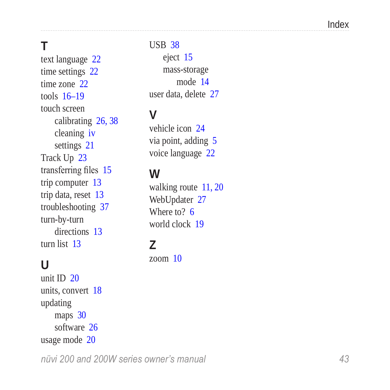**I** USB 38<br> **i** the settings 22<br> **i** the settings 22<br> **i** me scribes 22<br> **inners** conce 22<br> **inners** and 2000<br> **orders** and **a** and **i** series of the settings 16<br> **cleaning** iv vehicle ion 24<br> **i** via point, adding 5<br> **ord** text language [2](#page-27-0) 2 time settings [2](#page-27-0) 2 time zone [2](#page-27-0) 2 tools [1](#page-24-0)6–19 touch screen calibrating 2 [6](#page-31-0), [3](#page-43-0) 8 cleaning i[v](#page-5-0) settings [2](#page-26-0) 1 Track Up 2[3](#page-28-0) transferring files [1](#page-20-0) 5 trip computer [1](#page-18-0) 3 trip data, reset [1](#page-18-0) 3 troubleshooting [3](#page-42-0) 7 turn-by-turn directions 1 [3](#page-18-0) turn list [1](#page-18-0) 3

#### **U**

unit ID [2](#page-25-0)0 units, convert [1](#page-23-0) 8 updating maps 3[0](#page-35-0) software [2](#page-31-0) 6 usage mode [2](#page-25-0) 0

USB [3](#page-43-0) 8

eject [1](#page-20-0) 5 mass-storage mode [1](#page-19-0) 4 user data, delete [2](#page-32-0) 7

#### **V**

vehicle icon 2 [4](#page-29-0) via point, adding [5](#page-10-0) voice language 2 [2](#page-27-0)

#### **W**

walking route [1](#page-16-0)1, [2](#page-25-0)0 WebUpdater [2](#page-32-0)7 Where to? [6](#page-11-0) world clock [1](#page-24-0) 9

#### **Z**

zoom [1](#page-15-0) 0